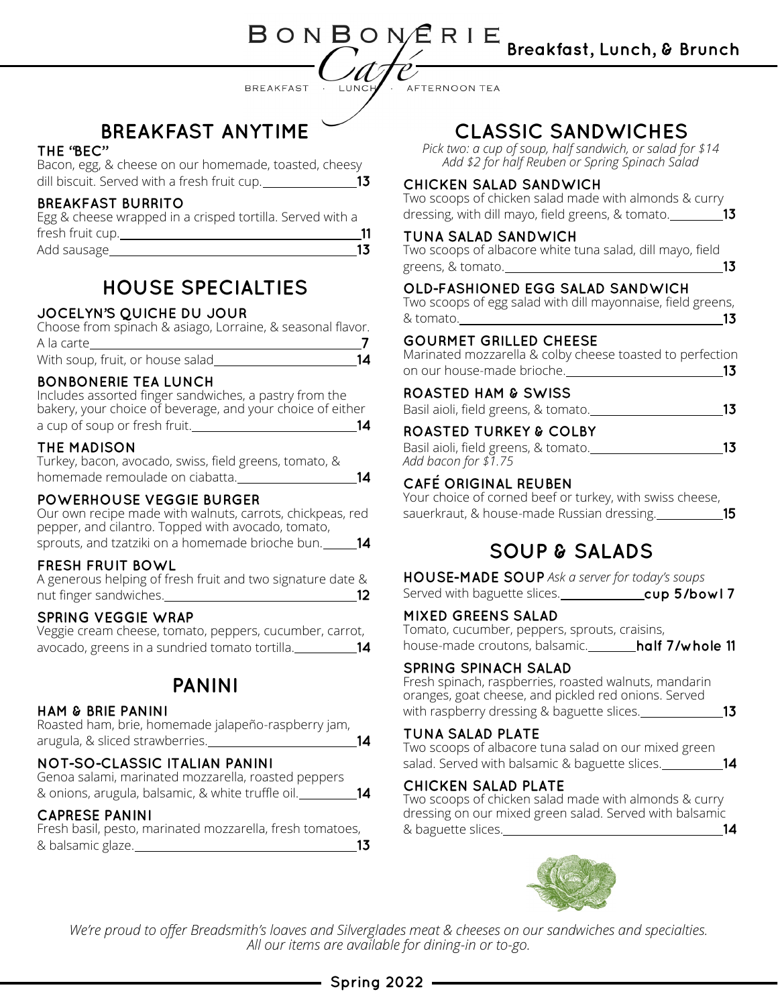BREAKFAST ·

AFTERNOON TEA

BONBONERIE

LUNCH

14

# **BREAKFAST ANYTIME**

### THE 'BEC"

Bacon, egg, & cheese on our homemade, toasted, cheesy dill biscuit. Served with a fresh fruit cup. 13

### **BREAKFAST BURRITO**

Egg & cheese wrapped in a crisped tortilla. Served with a fresh fruit cup.  $-11$ 13 Add sausage

# **HOUSE SPECIALTIES**

### JOCELYN'S QUICHE DU JOUR

Choose from spinach & asiago, Lorraine, & seasonal flavor. A la carte -7 With soup, fruit, or house salad  $14$ 

#### **BONBONERIE TEA LUNCH**

Includes assorted finger sandwiches, a pastry from the bakery, your choice of beverage, and your choice of either a cup of soup or fresh fruit.

#### THE MADISON

Turkey, bacon, avocado, swiss, field greens, tomato, & homemade remoulade on ciabatta.

#### **POWERHOUSE VEGGIE BURGER**

Our own recipe made with walnuts, carrots, chickpeas, red pepper, and cilantro. Topped with avocado, tomato, sprouts, and tzatziki on a homemade brioche bun. 14

### **FRESH FRUIT BOWL**

| A generous helping of fresh fruit and two signature date & |  |  |
|------------------------------------------------------------|--|--|
| nut finger sandwiches.                                     |  |  |

### **SPRING VEGGIE WRAP**

Veggie cream cheese, tomato, peppers, cucumber, carrot, avocado, greens in a sundried tomato tortilla.

## **PANINI**

#### **HAM & BRIE PANINI**

Roasted ham, brie, homemade jalapeño-raspberry jam, arugula, & sliced strawberries.

### NOT-SO-CLASSIC ITALIAN PANINI

Genoa salami, marinated mozzarella, roasted peppers & onions, arugula, balsamic, & white truffle oil.

#### **CAPRESE PANINI**

Fresh basil, pesto, marinated mozzarella, fresh tomatoes, & balsamic glaze.

## **CLASSIC SANDWICHES**

*Pick two: a cup of soup, half sandwich, or salad for \$14 Add \$2 for half Reuben or Spring Spinach Salad*

#### **CHICKEN SALAD SANDWICH**

Two scoops of chicken salad made with almonds & curry dressing, with dill mayo, field greens, & tomato. **13** 

#### TUNA SALAD SANDWICH

Two scoops of albacore white tuna salad, dill mayo, field<br>T<sup>3</sup> greens, & tomato.

### OLD-FASHIONED EGG SALAD SANDWICH

Two scoops of egg salad with dill mayonnaise, field greens,  $\sim$  13 & tomato.

### **GOURMET GRILLED CHEESE**

Marinated mozzarella & colby cheese toasted to perfection on our house-made brioche.

### **ROASTED HAM & SWISS**

Basil aioli, field greens, & tomato.

### **ROASTED TURKEY & COLBY**

| Basil aioli, field greens, & tomato. |  |
|--------------------------------------|--|
| Add bacon for $$1.75$                |  |

### **CAFÉ ORIGINAL REUBEN**

Your choice of corned beef or turkey, with swiss cheese, sauerkraut, & house-made Russian dressing. 15

## **SOUP & SALADS**

*Ask a server for today's soups* Served with baguette slices.<br>
<u>cup 5/bowl</u> 7

### **MIXED GREENS SALAD**

Tomato, cucumber, peppers, sprouts, craisins, house-made croutons, balsamic.\_\_\_\_\_\_\_\_half 7/whole 11

#### **SPRING SPINACH SALAD**

Fresh spinach, raspberries, roasted walnuts, mandarin oranges, goat cheese, and pickled red onions. Served with raspberry dressing & baguette slices. \_\_\_\_\_\_\_\_\_\_\_\_\_\_\_13

#### TUNA SALAD PLATE

Two scoops of albacore tuna salad on our mixed green salad. Served with balsamic & baguette slices. **14** 

### **CHICKEN SALAD PLATE**

Two scoops of chicken salad made with almonds & curry dressing on our mixed green salad. Served with balsamic & baguette slices. 14



*We're proud to offer Breadsmith's loaves and Silverglades meat & cheeses on our sandwiches and specialties. All our items are available for dining-in or to-go.*